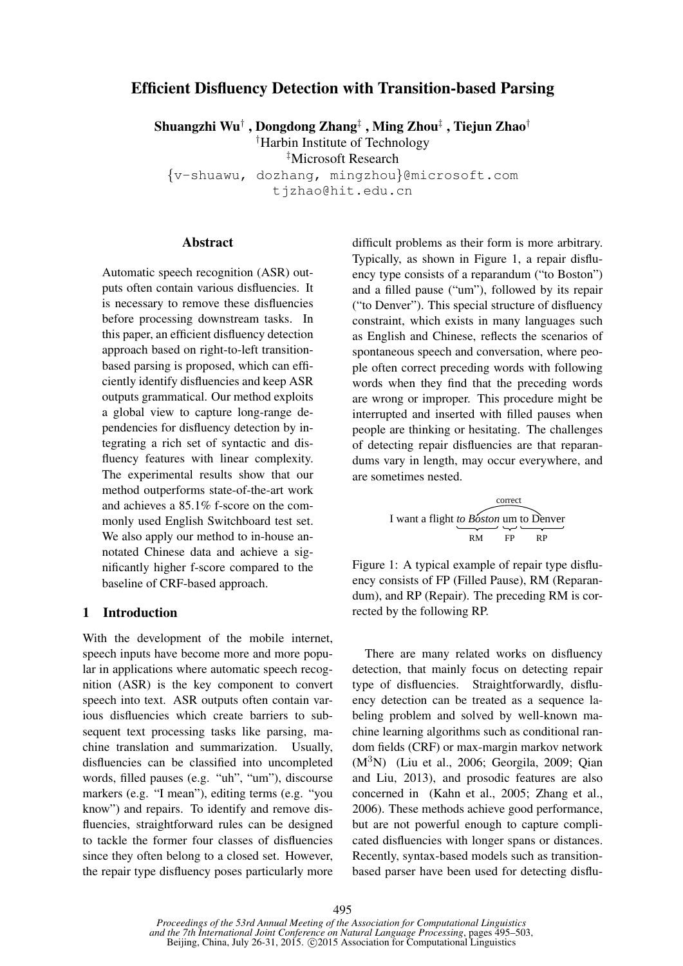# Efficient Disfluency Detection with Transition-based Parsing

Shuangzhi Wu† , Dongdong Zhang‡ , Ming Zhou‡ , Tiejun Zhao†

†Harbin Institute of Technology

‡Microsoft Research

{v-shuawu, dozhang, mingzhou}@microsoft.com

tjzhao@hit.edu.cn

#### Abstract

Automatic speech recognition (ASR) outputs often contain various disfluencies. It is necessary to remove these disfluencies before processing downstream tasks. In this paper, an efficient disfluency detection approach based on right-to-left transitionbased parsing is proposed, which can efficiently identify disfluencies and keep ASR outputs grammatical. Our method exploits a global view to capture long-range dependencies for disfluency detection by integrating a rich set of syntactic and disfluency features with linear complexity. The experimental results show that our method outperforms state-of-the-art work and achieves a 85.1% f-score on the commonly used English Switchboard test set. We also apply our method to in-house annotated Chinese data and achieve a significantly higher f-score compared to the baseline of CRF-based approach.

## 1 Introduction

With the development of the mobile internet, speech inputs have become more and more popular in applications where automatic speech recognition (ASR) is the key component to convert speech into text. ASR outputs often contain various disfluencies which create barriers to subsequent text processing tasks like parsing, machine translation and summarization. Usually, disfluencies can be classified into uncompleted words, filled pauses (e.g. "uh", "um"), discourse markers (e.g. "I mean"), editing terms (e.g. "you know") and repairs. To identify and remove disfluencies, straightforward rules can be designed to tackle the former four classes of disfluencies since they often belong to a closed set. However, the repair type disfluency poses particularly more difficult problems as their form is more arbitrary. Typically, as shown in Figure 1, a repair disfluency type consists of a reparandum ("to Boston") and a filled pause ("um"), followed by its repair ("to Denver"). This special structure of disfluency constraint, which exists in many languages such as English and Chinese, reflects the scenarios of spontaneous speech and conversation, where people often correct preceding words with following words when they find that the preceding words are wrong or improper. This procedure might be interrupted and inserted with filled pauses when people are thinking or hesitating. The challenges of detecting repair disfluencies are that reparandums vary in length, may occur everywhere, and are sometimes nested.

I want a flight to Boston 
$$
\mu
$$
 to Denver  $\mu$  in the paper  $\mu$ 

Figure 1: A typical example of repair type disfluency consists of FP (Filled Pause), RM (Reparandum), and RP (Repair). The preceding RM is corrected by the following RP.

There are many related works on disfluency detection, that mainly focus on detecting repair type of disfluencies. Straightforwardly, disfluency detection can be treated as a sequence labeling problem and solved by well-known machine learning algorithms such as conditional random fields (CRF) or max-margin markov network  $(M<sup>3</sup>N)$  (Liu et al., 2006; Georgila, 2009; Oian and Liu, 2013), and prosodic features are also concerned in (Kahn et al., 2005; Zhang et al., 2006). These methods achieve good performance, but are not powerful enough to capture complicated disfluencies with longer spans or distances. Recently, syntax-based models such as transitionbased parser have been used for detecting disflu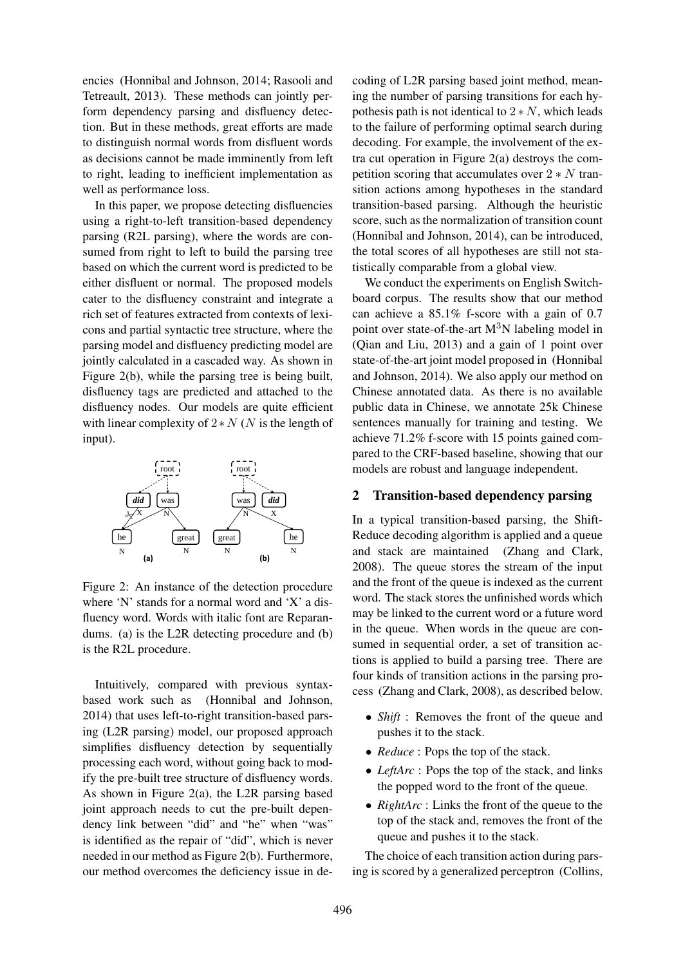encies (Honnibal and Johnson, 2014; Rasooli and Tetreault, 2013). These methods can jointly perform dependency parsing and disfluency detection. But in these methods, great efforts are made to distinguish normal words from disfluent words as decisions cannot be made imminently from left to right, leading to inefficient implementation as well as performance loss.

In this paper, we propose detecting disfluencies using a right-to-left transition-based dependency parsing (R2L parsing), where the words are consumed from right to left to build the parsing tree based on which the current word is predicted to be either disfluent or normal. The proposed models cater to the disfluency constraint and integrate a rich set of features extracted from contexts of lexicons and partial syntactic tree structure, where the parsing model and disfluency predicting model are jointly calculated in a cascaded way. As shown in Figure 2(b), while the parsing tree is being built, disfluency tags are predicted and attached to the disfluency nodes. Our models are quite efficient with linear complexity of  $2*N$  (N is the length of input).



Figure 2: An instance of the detection procedure where 'N' stands for a normal word and 'X' a disfluency word. Words with italic font are Reparandums. (a) is the L2R detecting procedure and (b) is the R2L procedure.

Intuitively, compared with previous syntaxbased work such as (Honnibal and Johnson, 2014) that uses left-to-right transition-based parsing (L2R parsing) model, our proposed approach simplifies disfluency detection by sequentially processing each word, without going back to modify the pre-built tree structure of disfluency words. As shown in Figure 2(a), the L2R parsing based joint approach needs to cut the pre-built dependency link between "did" and "he" when "was" is identified as the repair of "did", which is never needed in our method as Figure 2(b). Furthermore, our method overcomes the deficiency issue in de-

coding of L2R parsing based joint method, meaning the number of parsing transitions for each hypothesis path is not identical to  $2*N$ , which leads to the failure of performing optimal search during decoding. For example, the involvement of the extra cut operation in Figure 2(a) destroys the competition scoring that accumulates over  $2*N$  transition actions among hypotheses in the standard transition-based parsing. Although the heuristic score, such as the normalization of transition count (Honnibal and Johnson, 2014), can be introduced, the total scores of all hypotheses are still not statistically comparable from a global view.

We conduct the experiments on English Switchboard corpus. The results show that our method can achieve a 85.1% f-score with a gain of 0.7 point over state-of-the-art  $M<sup>3</sup>N$  labeling model in (Qian and Liu, 2013) and a gain of 1 point over state-of-the-art joint model proposed in (Honnibal and Johnson, 2014). We also apply our method on Chinese annotated data. As there is no available public data in Chinese, we annotate 25k Chinese sentences manually for training and testing. We achieve 71.2% f-score with 15 points gained compared to the CRF-based baseline, showing that our models are robust and language independent.

#### 2 Transition-based dependency parsing

In a typical transition-based parsing, the Shift-Reduce decoding algorithm is applied and a queue and stack are maintained (Zhang and Clark, 2008). The queue stores the stream of the input and the front of the queue is indexed as the current word. The stack stores the unfinished words which may be linked to the current word or a future word in the queue. When words in the queue are consumed in sequential order, a set of transition actions is applied to build a parsing tree. There are four kinds of transition actions in the parsing process (Zhang and Clark, 2008), as described below.

- *Shift* : Removes the front of the queue and pushes it to the stack.
- *Reduce* : Pops the top of the stack.
- *LeftArc* : Pops the top of the stack, and links the popped word to the front of the queue.
- *RightArc* : Links the front of the queue to the top of the stack and, removes the front of the queue and pushes it to the stack.

The choice of each transition action during parsing is scored by a generalized perceptron (Collins,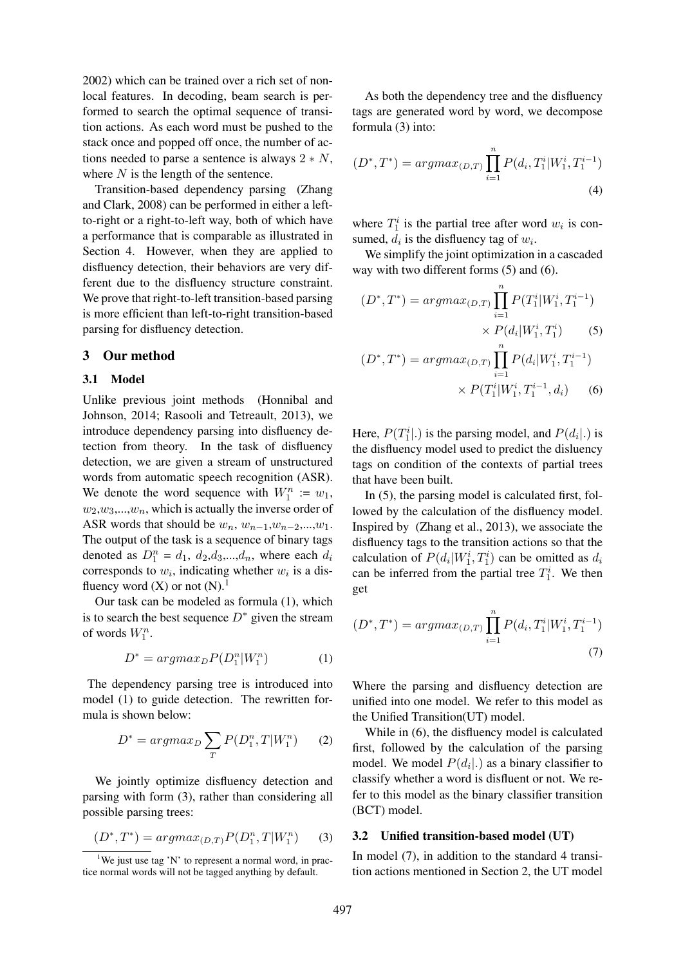2002) which can be trained over a rich set of nonlocal features. In decoding, beam search is performed to search the optimal sequence of transition actions. As each word must be pushed to the stack once and popped off once, the number of actions needed to parse a sentence is always  $2 \times N$ , where  $N$  is the length of the sentence.

Transition-based dependency parsing (Zhang and Clark, 2008) can be performed in either a leftto-right or a right-to-left way, both of which have a performance that is comparable as illustrated in Section 4. However, when they are applied to disfluency detection, their behaviors are very different due to the disfluency structure constraint. We prove that right-to-left transition-based parsing is more efficient than left-to-right transition-based parsing for disfluency detection.

#### 3 Our method

#### 3.1 Model

Unlike previous joint methods (Honnibal and Johnson, 2014; Rasooli and Tetreault, 2013), we introduce dependency parsing into disfluency detection from theory. In the task of disfluency detection, we are given a stream of unstructured words from automatic speech recognition (ASR). We denote the word sequence with  $W_1^n := w_1$ ,  $w_2, w_3,...,w_n$ , which is actually the inverse order of ASR words that should be  $w_n$ ,  $w_{n-1}$ , $w_{n-2}$ ,..., $w_1$ . The output of the task is a sequence of binary tags denoted as  $D_1^n = d_1, d_2, d_3, \dots, d_n$ , where each  $d_i$ corresponds to  $w_i$ , indicating whether  $w_i$  is a disfluency word  $(X)$  or not  $(N)$ .<sup>1</sup>

Our task can be modeled as formula (1), which is to search the best sequence  $D^*$  given the stream of words  $W_1^n$ .

$$
D^* = argmax_D P(D_1^n|W_1^n) \tag{1}
$$

The dependency parsing tree is introduced into model (1) to guide detection. The rewritten formula is shown below:

$$
D^* = argmax_D \sum_T P(D_1^n, T | W_1^n) \qquad (2)
$$

We jointly optimize disfluency detection and parsing with form (3), rather than considering all possible parsing trees:

$$
(D^*,T^*) = argmax_{(D,T)} P(D_1^n, T | W_1^n) \tag{3}
$$

As both the dependency tree and the disfluency tags are generated word by word, we decompose formula (3) into:

$$
(D^*,T^*) = argmax_{(D,T)} \prod_{i=1}^n P(d_i, T_1^i | W_1^i, T_1^{i-1})
$$
\n(4)

where  $T_1^i$  is the partial tree after word  $w_i$  is consumed,  $d_i$  is the disfluency tag of  $w_i$ .

We simplify the joint optimization in a cascaded way with two different forms (5) and (6).

$$
(D^*, T^*) = \operatorname{argmax}_{(D,T)} \prod_{i=1}^n P(T_1^i | W_1^i, T_1^{i-1})
$$

$$
\times P(d_i | W_1^i, T_1^i) \tag{5}
$$

$$
(D^*, T^*) = argmax_{(D,T)} \prod_{i=1}^n P(d_i|W_1^i, T_1^{i-1})
$$

$$
\times P(T_1^i|W_1^i, T_1^{i-1}, d_i)
$$
(6)

Here,  $P(T_1^i|.)$  is the parsing model, and  $P(d_i|.)$  is the disfluency model used to predict the disluency tags on condition of the contexts of partial trees that have been built.

In (5), the parsing model is calculated first, followed by the calculation of the disfluency model. Inspired by (Zhang et al., 2013), we associate the disfluency tags to the transition actions so that the calculation of  $P(d_i|W_1^i, T_1^i)$  can be omitted as  $d_i$ can be inferred from the partial tree  $T_1^i$ . We then get

$$
(D^*,T^*) = argmax_{(D,T)} \prod_{i=1}^n P(d_i, T_1^i | W_1^i, T_1^{i-1})
$$
  
(7)

Where the parsing and disfluency detection are unified into one model. We refer to this model as the Unified Transition(UT) model.

While in (6), the disfluency model is calculated first, followed by the calculation of the parsing model. We model  $P(d_i|.)$  as a binary classifier to classify whether a word is disfluent or not. We refer to this model as the binary classifier transition (BCT) model.

#### 3.2 Unified transition-based model (UT)

In model (7), in addition to the standard 4 transition actions mentioned in Section 2, the UT model

<sup>&</sup>lt;sup>1</sup>We just use tag 'N' to represent a normal word, in practice normal words will not be tagged anything by default.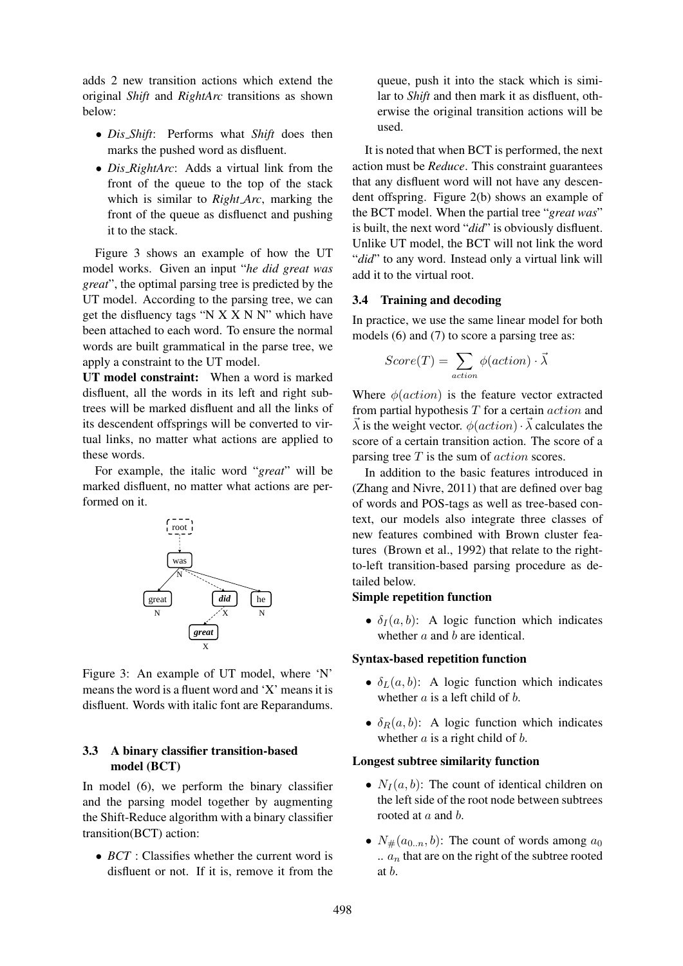adds 2 new transition actions which extend the original *Shift* and *RightArc* transitions as shown below:

- *Dis Shift*: Performs what *Shift* does then marks the pushed word as disfluent.
- *Dis RightArc*: Adds a virtual link from the front of the queue to the top of the stack which is similar to *Right Arc*, marking the front of the queue as disfluenct and pushing it to the stack.

Figure 3 shows an example of how the UT model works. Given an input "*he did great was great*", the optimal parsing tree is predicted by the UT model. According to the parsing tree, we can get the disfluency tags "N X X N N" which have been attached to each word. To ensure the normal words are built grammatical in the parse tree, we apply a constraint to the UT model.

UT model constraint: When a word is marked disfluent, all the words in its left and right subtrees will be marked disfluent and all the links of its descendent offsprings will be converted to virtual links, no matter what actions are applied to these words.

For example, the italic word "*great*" will be marked disfluent, no matter what actions are performed on it.



Figure 3: An example of UT model, where 'N' means the word is a fluent word and 'X' means it is disfluent. Words with italic font are Reparandums.

## 3.3 A binary classifier transition-based model (BCT)

In model (6), we perform the binary classifier and the parsing model together by augmenting the Shift-Reduce algorithm with a binary classifier transition(BCT) action:

• *BCT* : Classifies whether the current word is disfluent or not. If it is, remove it from the queue, push it into the stack which is similar to *Shift* and then mark it as disfluent, otherwise the original transition actions will be used.

It is noted that when BCT is performed, the next action must be *Reduce*. This constraint guarantees that any disfluent word will not have any descendent offspring. Figure 2(b) shows an example of the BCT model. When the partial tree "*great was*" is built, the next word "*did*" is obviously disfluent. Unlike UT model, the BCT will not link the word "*did*" to any word. Instead only a virtual link will add it to the virtual root.

#### 3.4 Training and decoding

In practice, we use the same linear model for both models (6) and (7) to score a parsing tree as:

$$
Score(T) = \sum_{action} \phi(action) \cdot \vec{\lambda}
$$

Where  $\phi(action)$  is the feature vector extracted from partial hypothesis  $T$  for a certain  $action$  and  $\vec{\lambda}$  is the weight vector.  $\phi (action) \cdot \vec{\lambda}$  calculates the score of a certain transition action. The score of a parsing tree  $T$  is the sum of  $action$  scores.

In addition to the basic features introduced in (Zhang and Nivre, 2011) that are defined over bag of words and POS-tags as well as tree-based context, our models also integrate three classes of new features combined with Brown cluster features (Brown et al., 1992) that relate to the rightto-left transition-based parsing procedure as detailed below.

#### Simple repetition function

•  $\delta_I(a, b)$ : A logic function which indicates whether a and b are identical.

#### Syntax-based repetition function

- $\delta_L(a, b)$ : A logic function which indicates whether  $a$  is a left child of  $b$ .
- $\delta_R(a, b)$ : A logic function which indicates whether  $a$  is a right child of  $b$ .

#### Longest subtree similarity function

- $N_I(a, b)$ : The count of identical children on the left side of the root node between subtrees rooted at a and b.
- $N_{\#}(a_{0..n}, b)$ : The count of words among  $a_0$  $a_n$  that are on the right of the subtree rooted at b.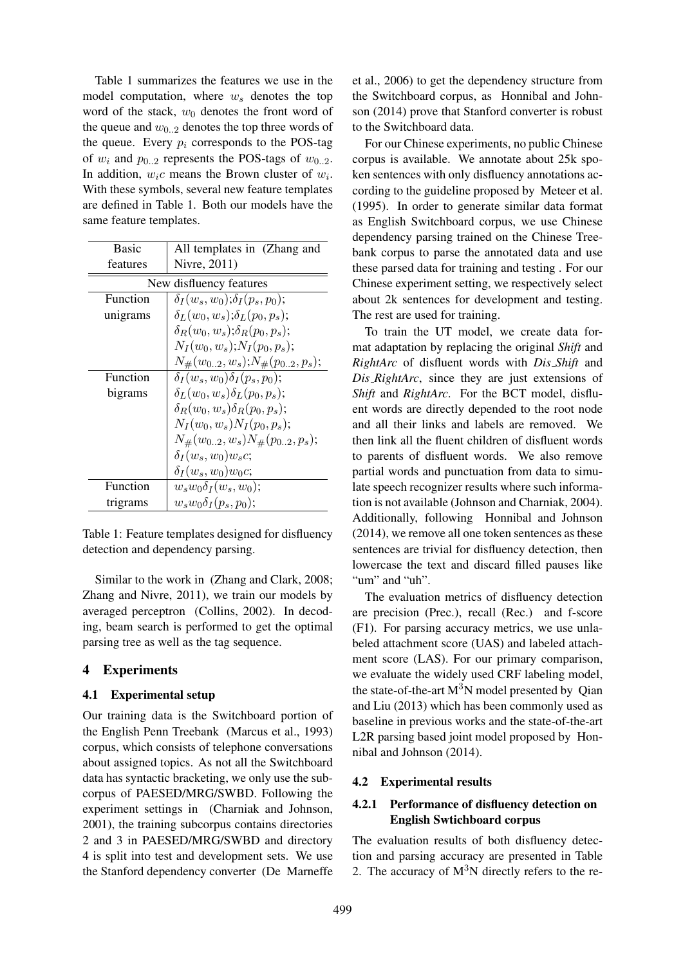Table 1 summarizes the features we use in the model computation, where  $w_s$  denotes the top word of the stack,  $w_0$  denotes the front word of the queue and  $w_{0..2}$  denotes the top three words of the queue. Every  $p_i$  corresponds to the POS-tag of  $w_i$  and  $p_{0,2}$  represents the POS-tags of  $w_{0,2}$ . In addition,  $w_i c$  means the Brown cluster of  $w_i$ . With these symbols, several new feature templates are defined in Table 1. Both our models have the same feature templates.

| Basic                   | All templates in (Zhang and               |  |  |
|-------------------------|-------------------------------------------|--|--|
| features                | Nivre, 2011)                              |  |  |
| New disfluency features |                                           |  |  |
| Function                | $\delta_I(w_s, w_0); \delta_I(p_s, p_0);$ |  |  |
| unigrams                | $\delta_L(w_0, w_s); \delta_L(p_0, p_s);$ |  |  |
|                         | $\delta_R(w_0, w_s); \delta_R(p_0, p_s);$ |  |  |
|                         | $N_I(w_0, w_s); N_I(p_0, p_s);$           |  |  |
|                         | $N_{\#}(w_{02},w_s);N_{\#}(p_{02},p_s);$  |  |  |
| Function                | $\delta_I(w_s, w_0) \delta_I(p_s, p_0);$  |  |  |
| bigrams                 | $\delta_L(w_0, w_s) \delta_L(p_0, p_s);$  |  |  |
|                         | $\delta_R(w_0, w_s) \delta_R(p_0, p_s);$  |  |  |
|                         | $N_I(w_0, w_s)N_I(p_0, p_s);$             |  |  |
|                         | $N_{\#}(w_{02},w_s)N_{\#}(p_{02},p_s);$   |  |  |
|                         | $\delta_I(w_s, w_0) w_s c;$               |  |  |
|                         | $\delta_I(w_s, w_0) w_0 c;$               |  |  |
| Function                | $w_s w_0 \delta_I(w_s, w_0);$             |  |  |
| trigrams                | $w_s w_0 \delta_I(p_s, p_0);$             |  |  |

Table 1: Feature templates designed for disfluency detection and dependency parsing.

Similar to the work in (Zhang and Clark, 2008; Zhang and Nivre, 2011), we train our models by averaged perceptron (Collins, 2002). In decoding, beam search is performed to get the optimal parsing tree as well as the tag sequence.

## 4 Experiments

#### 4.1 Experimental setup

Our training data is the Switchboard portion of the English Penn Treebank (Marcus et al., 1993) corpus, which consists of telephone conversations about assigned topics. As not all the Switchboard data has syntactic bracketing, we only use the subcorpus of PAESED/MRG/SWBD. Following the experiment settings in (Charniak and Johnson, 2001), the training subcorpus contains directories 2 and 3 in PAESED/MRG/SWBD and directory 4 is split into test and development sets. We use the Stanford dependency converter (De Marneffe et al., 2006) to get the dependency structure from the Switchboard corpus, as Honnibal and Johnson (2014) prove that Stanford converter is robust to the Switchboard data.

For our Chinese experiments, no public Chinese corpus is available. We annotate about 25k spoken sentences with only disfluency annotations according to the guideline proposed by Meteer et al. (1995). In order to generate similar data format as English Switchboard corpus, we use Chinese dependency parsing trained on the Chinese Treebank corpus to parse the annotated data and use these parsed data for training and testing . For our Chinese experiment setting, we respectively select about 2k sentences for development and testing. The rest are used for training.

To train the UT model, we create data format adaptation by replacing the original *Shift* and *RightArc* of disfluent words with *Dis Shift* and *Dis RightArc*, since they are just extensions of *Shift* and *RightArc*. For the BCT model, disfluent words are directly depended to the root node and all their links and labels are removed. We then link all the fluent children of disfluent words to parents of disfluent words. We also remove partial words and punctuation from data to simulate speech recognizer results where such information is not available (Johnson and Charniak, 2004). Additionally, following Honnibal and Johnson (2014), we remove all one token sentences as these sentences are trivial for disfluency detection, then lowercase the text and discard filled pauses like "um" and "uh".

The evaluation metrics of disfluency detection are precision (Prec.), recall (Rec.) and f-score (F1). For parsing accuracy metrics, we use unlabeled attachment score (UAS) and labeled attachment score (LAS). For our primary comparison, we evaluate the widely used CRF labeling model, the state-of-the-art  $M<sup>3</sup>N$  model presented by Qian and Liu (2013) which has been commonly used as baseline in previous works and the state-of-the-art L2R parsing based joint model proposed by Honnibal and Johnson (2014).

## 4.2 Experimental results

## 4.2.1 Performance of disfluency detection on English Swtichboard corpus

The evaluation results of both disfluency detection and parsing accuracy are presented in Table 2. The accuracy of  $M<sup>3</sup>N$  directly refers to the re-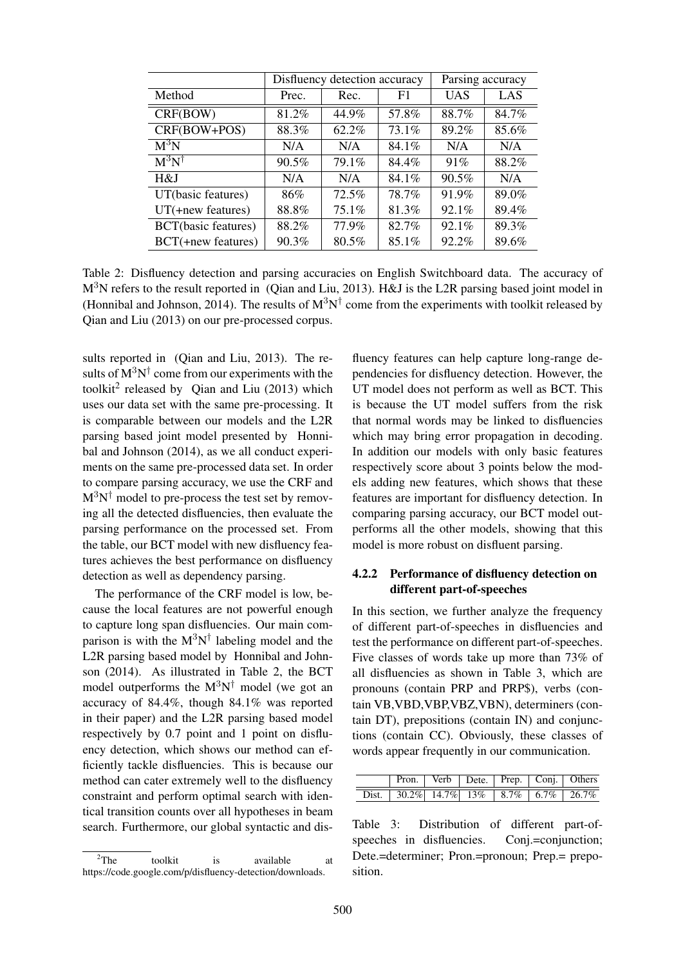|                     | Disfluency detection accuracy |          |          | Parsing accuracy |       |
|---------------------|-------------------------------|----------|----------|------------------|-------|
| Method              | Prec.                         | Rec.     | F1       | <b>UAS</b>       | LAS   |
| CRF(BOW)            | 81.2%                         | 44.9%    | 57.8%    | 88.7%            | 84.7% |
| CRF(BOW+POS)        | 88.3%                         | 62.2%    | 73.1%    | 89.2%            | 85.6% |
| $M^3N$              | N/A                           | N/A      | 84.1%    | N/A              | N/A   |
| $M^3N^{\dagger}$    | 90.5%                         | 79.1%    | 84.4%    | 91%              | 88.2% |
| H&J                 | N/A                           | N/A      | 84.1%    | $90.5\%$         | N/A   |
| UT(basic features)  | 86%                           | 72.5%    | 78.7%    | 91.9%            | 89.0% |
| $UT(+new features)$ | 88.8%                         | 75.1%    | 81.3%    | 92.1%            | 89.4% |
| BCT(basic features) | 88.2%                         | 77.9%    | 82.7%    | 92.1%            | 89.3% |
| BCT(+new features)  | 90.3%                         | $80.5\%$ | $85.1\%$ | 92.2%            | 89.6% |

Table 2: Disfluency detection and parsing accuracies on English Switchboard data. The accuracy of M<sup>3</sup>N refers to the result reported in (Qian and Liu, 2013). H&J is the L2R parsing based joint model in (Honnibal and Johnson, 2014). The results of  $M^3N^{\dagger}$  come from the experiments with toolkit released by Qian and Liu (2013) on our pre-processed corpus.

sults reported in (Qian and Liu, 2013). The results of  $M^3N^{\dagger}$  come from our experiments with the toolkit<sup>2</sup> released by Qian and Liu  $(2013)$  which uses our data set with the same pre-processing. It is comparable between our models and the L2R parsing based joint model presented by Honnibal and Johnson (2014), as we all conduct experiments on the same pre-processed data set. In order to compare parsing accuracy, we use the CRF and  $M^3N^{\dagger}$  model to pre-process the test set by removing all the detected disfluencies, then evaluate the parsing performance on the processed set. From the table, our BCT model with new disfluency features achieves the best performance on disfluency detection as well as dependency parsing.

The performance of the CRF model is low, because the local features are not powerful enough to capture long span disfluencies. Our main comparison is with the  $M^3N^{\dagger}$  labeling model and the L2R parsing based model by Honnibal and Johnson (2014). As illustrated in Table 2, the BCT model outperforms the  $M^3N^{\dagger}$  model (we got an accuracy of 84.4%, though 84.1% was reported in their paper) and the L2R parsing based model respectively by 0.7 point and 1 point on disfluency detection, which shows our method can efficiently tackle disfluencies. This is because our method can cater extremely well to the disfluency constraint and perform optimal search with identical transition counts over all hypotheses in beam search. Furthermore, our global syntactic and dis-

fluency features can help capture long-range dependencies for disfluency detection. However, the UT model does not perform as well as BCT. This is because the UT model suffers from the risk that normal words may be linked to disfluencies which may bring error propagation in decoding. In addition our models with only basic features respectively score about 3 points below the models adding new features, which shows that these features are important for disfluency detection. In comparing parsing accuracy, our BCT model outperforms all the other models, showing that this model is more robust on disfluent parsing.

## 4.2.2 Performance of disfluency detection on different part-of-speeches

In this section, we further analyze the frequency of different part-of-speeches in disfluencies and test the performance on different part-of-speeches. Five classes of words take up more than 73% of all disfluencies as shown in Table 3, which are pronouns (contain PRP and PRP\$), verbs (contain VB,VBD,VBP,VBZ,VBN), determiners (contain DT), prepositions (contain IN) and conjunctions (contain CC). Obviously, these classes of words appear frequently in our communication.

|  |  |  | Pron.   Verb   Dete.   Prep.   Conj.   Others |
|--|--|--|-----------------------------------------------|
|  |  |  | Dist. 30.2% 14.7% 13% 8.7% 6.7% 26.7%         |

Table 3: Distribution of different part-ofspeeches in disfluencies. Conj.=conjunction: Dete.=determiner; Pron.=pronoun; Prep.= preposition.

 $2$ The toolkit is available at https://code.google.com/p/disfluency-detection/downloads.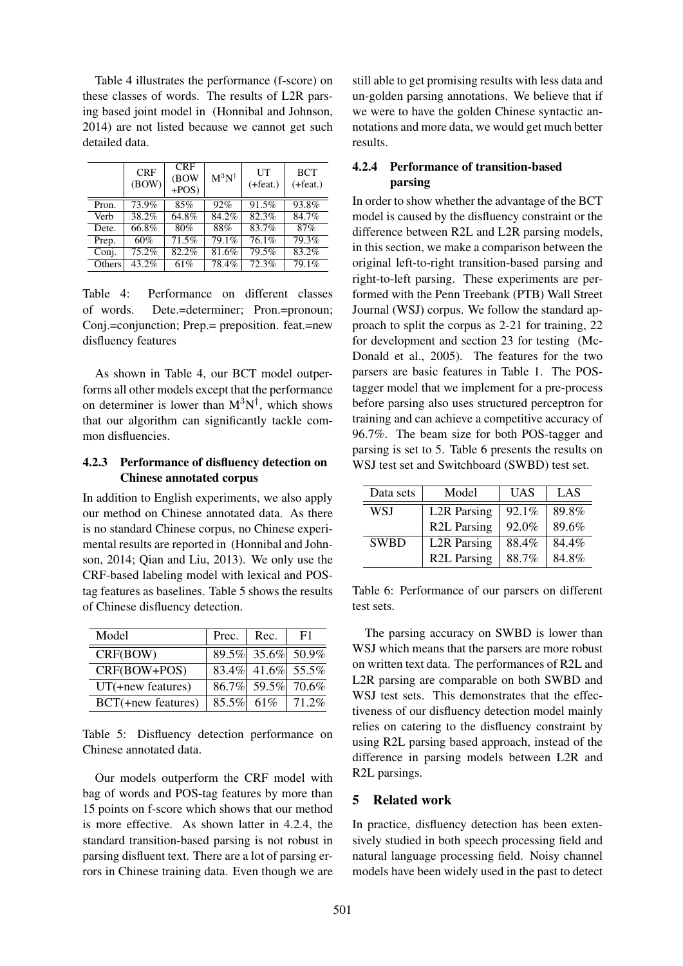Table 4 illustrates the performance (f-score) on these classes of words. The results of L2R parsing based joint model in (Honnibal and Johnson, 2014) are not listed because we cannot get such detailed data.

|        | <b>CRF</b><br>(BOW) | <b>CRF</b><br>(BOW<br>$+POS$ | $M^3N^{\dagger}$ | UT<br>$(+feat.)$ | <b>BCT</b><br>$(+feat.)$ |
|--------|---------------------|------------------------------|------------------|------------------|--------------------------|
| Pron.  | 73.9%               | 85%                          | 92%              | 91.5%            | 93.8%                    |
| Verb   | 38.2%               | $64.8\%$                     | 84.2%            | 82.3%            | 84.7%                    |
| Dete.  | 66.8%               | 80%                          | 88%              | 83.7%            | 87%                      |
| Prep.  | 60%                 | 71.5%                        | 79.1%            | 76.1%            | 79.3%                    |
| Conj.  | 75.2%               | 82.2%                        | 81.6%            | 79.5%            | 83.2%                    |
| Others | 43.2%               | 61%                          | 78.4%            | 72.3%            | 79.1%                    |

Table 4: Performance on different classes of words. Dete.=determiner; Pron.=pronoun; Conj.=conjunction; Prep.= preposition. feat.=new disfluency features

As shown in Table 4, our BCT model outperforms all other models except that the performance on determiner is lower than  $M^3N^{\dagger}$ , which shows that our algorithm can significantly tackle common disfluencies.

## 4.2.3 Performance of disfluency detection on Chinese annotated corpus

In addition to English experiments, we also apply our method on Chinese annotated data. As there is no standard Chinese corpus, no Chinese experimental results are reported in (Honnibal and Johnson, 2014; Qian and Liu, 2013). We only use the CRF-based labeling model with lexical and POStag features as baselines. Table 5 shows the results of Chinese disfluency detection.

| Model               | Prec. | Rec.          | F1                |
|---------------------|-------|---------------|-------------------|
| CRF(BOW)            |       |               | 89.5% 35.6% 50.9% |
| CRF(BOW+POS)        |       |               | 83.4% 41.6% 55.5% |
| $UT(+new features)$ |       |               | 86.7% 59.5% 70.6% |
| BCT(+new features)  |       | $85.5\%$ 61\% | 71.2%             |

Table 5: Disfluency detection performance on Chinese annotated data.

Our models outperform the CRF model with bag of words and POS-tag features by more than 15 points on f-score which shows that our method is more effective. As shown latter in 4.2.4, the standard transition-based parsing is not robust in parsing disfluent text. There are a lot of parsing errors in Chinese training data. Even though we are

still able to get promising results with less data and un-golden parsing annotations. We believe that if we were to have the golden Chinese syntactic annotations and more data, we would get much better results.

## 4.2.4 Performance of transition-based parsing

In order to show whether the advantage of the BCT model is caused by the disfluency constraint or the difference between R2L and L2R parsing models, in this section, we make a comparison between the original left-to-right transition-based parsing and right-to-left parsing. These experiments are performed with the Penn Treebank (PTB) Wall Street Journal (WSJ) corpus. We follow the standard approach to split the corpus as 2-21 for training, 22 for development and section 23 for testing (Mc-Donald et al., 2005). The features for the two parsers are basic features in Table 1. The POStagger model that we implement for a pre-process before parsing also uses structured perceptron for training and can achieve a competitive accuracy of 96.7%. The beam size for both POS-tagger and parsing is set to 5. Table 6 presents the results on WSJ test set and Switchboard (SWBD) test set.

| Data sets   | Model              | <b>UAS</b> | LAS   |
|-------------|--------------------|------------|-------|
| WSI         | <b>L2R</b> Parsing | 92.1%      | 89.8% |
|             | <b>R2L Parsing</b> | 92.0%      | 89.6% |
| <b>SWBD</b> | <b>L2R</b> Parsing | 88.4%      | 84.4% |
|             | <b>R2L Parsing</b> | 88.7%      | 84.8% |

Table 6: Performance of our parsers on different test sets.

The parsing accuracy on SWBD is lower than WSJ which means that the parsers are more robust on written text data. The performances of R2L and L2R parsing are comparable on both SWBD and WSJ test sets. This demonstrates that the effectiveness of our disfluency detection model mainly relies on catering to the disfluency constraint by using R2L parsing based approach, instead of the difference in parsing models between L2R and R2L parsings.

## 5 Related work

In practice, disfluency detection has been extensively studied in both speech processing field and natural language processing field. Noisy channel models have been widely used in the past to detect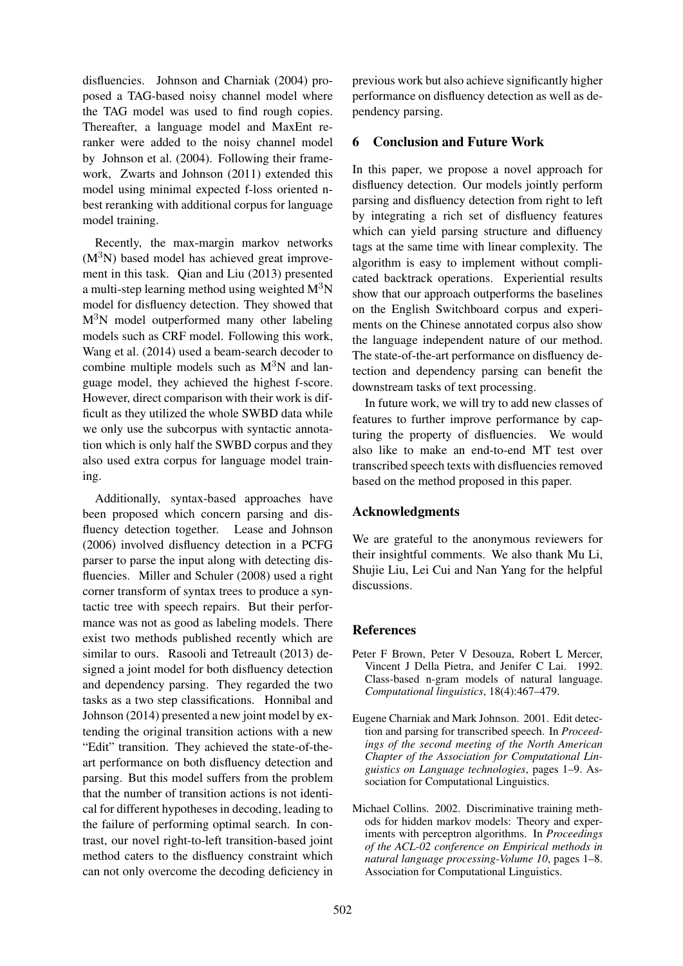disfluencies. Johnson and Charniak (2004) proposed a TAG-based noisy channel model where the TAG model was used to find rough copies. Thereafter, a language model and MaxEnt reranker were added to the noisy channel model by Johnson et al. (2004). Following their framework, Zwarts and Johnson (2011) extended this model using minimal expected f-loss oriented nbest reranking with additional corpus for language model training.

Recently, the max-margin markov networks  $(M<sup>3</sup>N)$  based model has achieved great improvement in this task. Qian and Liu (2013) presented a multi-step learning method using weighted  $M<sup>3</sup>N$ model for disfluency detection. They showed that  $M<sup>3</sup>N$  model outperformed many other labeling models such as CRF model. Following this work, Wang et al. (2014) used a beam-search decoder to combine multiple models such as  $M<sup>3</sup>N$  and language model, they achieved the highest f-score. However, direct comparison with their work is difficult as they utilized the whole SWBD data while we only use the subcorpus with syntactic annotation which is only half the SWBD corpus and they also used extra corpus for language model training.

Additionally, syntax-based approaches have been proposed which concern parsing and disfluency detection together. Lease and Johnson (2006) involved disfluency detection in a PCFG parser to parse the input along with detecting disfluencies. Miller and Schuler (2008) used a right corner transform of syntax trees to produce a syntactic tree with speech repairs. But their performance was not as good as labeling models. There exist two methods published recently which are similar to ours. Rasooli and Tetreault (2013) designed a joint model for both disfluency detection and dependency parsing. They regarded the two tasks as a two step classifications. Honnibal and Johnson (2014) presented a new joint model by extending the original transition actions with a new "Edit" transition. They achieved the state-of-theart performance on both disfluency detection and parsing. But this model suffers from the problem that the number of transition actions is not identical for different hypotheses in decoding, leading to the failure of performing optimal search. In contrast, our novel right-to-left transition-based joint method caters to the disfluency constraint which can not only overcome the decoding deficiency in previous work but also achieve significantly higher performance on disfluency detection as well as dependency parsing.

# 6 Conclusion and Future Work

In this paper, we propose a novel approach for disfluency detection. Our models jointly perform parsing and disfluency detection from right to left by integrating a rich set of disfluency features which can yield parsing structure and difluency tags at the same time with linear complexity. The algorithm is easy to implement without complicated backtrack operations. Experiential results show that our approach outperforms the baselines on the English Switchboard corpus and experiments on the Chinese annotated corpus also show the language independent nature of our method. The state-of-the-art performance on disfluency detection and dependency parsing can benefit the downstream tasks of text processing.

In future work, we will try to add new classes of features to further improve performance by capturing the property of disfluencies. We would also like to make an end-to-end MT test over transcribed speech texts with disfluencies removed based on the method proposed in this paper.

## Acknowledgments

We are grateful to the anonymous reviewers for their insightful comments. We also thank Mu Li, Shujie Liu, Lei Cui and Nan Yang for the helpful discussions.

# References

- Peter F Brown, Peter V Desouza, Robert L Mercer, Vincent J Della Pietra, and Jenifer C Lai. 1992. Class-based n-gram models of natural language. *Computational linguistics*, 18(4):467–479.
- Eugene Charniak and Mark Johnson. 2001. Edit detection and parsing for transcribed speech. In *Proceedings of the second meeting of the North American Chapter of the Association for Computational Linguistics on Language technologies*, pages 1–9. Association for Computational Linguistics.
- Michael Collins. 2002. Discriminative training methods for hidden markov models: Theory and experiments with perceptron algorithms. In *Proceedings of the ACL-02 conference on Empirical methods in natural language processing-Volume 10*, pages 1–8. Association for Computational Linguistics.